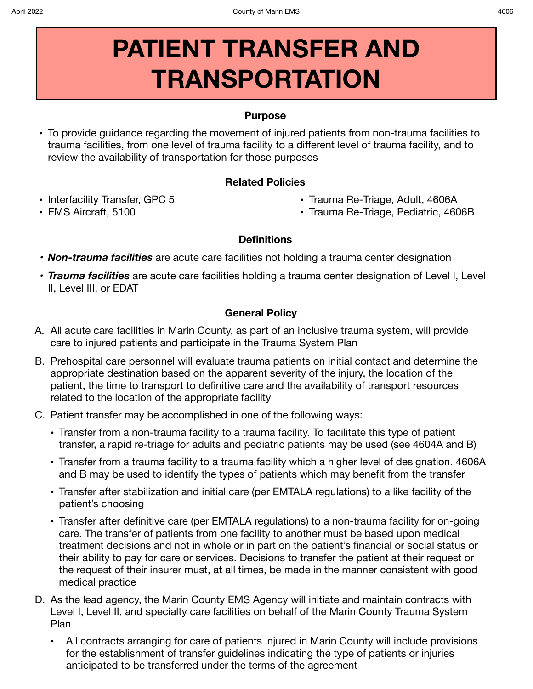# **PATIENT TRANSFER AND TRANSPORTATION**

## **Purpose**

**•** To provide guidance regarding the movement of injured patients from non-trauma facilities to trauma facilities, from one level of trauma facility to a different level of trauma facility, and to review the availability of transportation for those purposes

## **Related Policies**

**•** Interfacility Transfer, GPC 5

**•** Trauma Re-Triage, Adult, 4606A

**•** EMS Aircraft, 5100

**•** Trauma Re-Triage, Pediatric, 4606B

## **Definitions**

- *• Non-trauma facilities* are acute care facilities not holding a trauma center designation
- *• Trauma facilities* are acute care facilities holding a trauma center designation of Level I, Level II, Level III, or EDAT

## **General Policy**

- A. All acute care facilities in Marin County, as part of an inclusive trauma system, will provide care to injured patients and participate in the Trauma System Plan
- B. Prehospital care personnel will evaluate trauma patients on initial contact and determine the appropriate destination based on the apparent severity of the injury, the location of the patient, the time to transport to definitive care and the availability of transport resources related to the location of the appropriate facility
- C. Patient transfer may be accomplished in one of the following ways:
	- **•** Transfer from a non-trauma facility to a trauma facility. To facilitate this type of patient transfer, a rapid re-triage for adults and pediatric patients may be used (see 4604A and B)
	- **•** Transfer from a trauma facility to a trauma facility which a higher level of designation. 4606A and B may be used to identify the types of patients which may benefit from the transfer
	- **•** Transfer after stabilization and initial care (per EMTALA regulations) to a like facility of the patient's choosing
	- **•** Transfer after definitive care (per EMTALA regulations) to a non-trauma facility for on-going care. The transfer of patients from one facility to another must be based upon medical treatment decisions and not in whole or in part on the patient's financial or social status or their ability to pay for care or services. Decisions to transfer the patient at their request or the request of their insurer must, at all times, be made in the manner consistent with good medical practice
- D. As the lead agency, the Marin County EMS Agency will initiate and maintain contracts with Level I, Level II, and specialty care facilities on behalf of the Marin County Trauma System Plan
	- **•** All contracts arranging for care of patients injured in Marin County will include provisions for the establishment of transfer guidelines indicating the type of patients or injuries anticipated to be transferred under the terms of the agreement